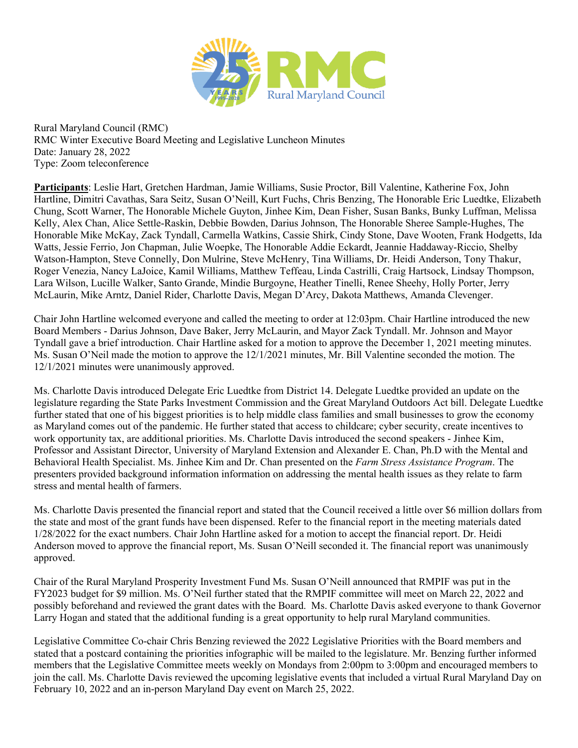

Rural Maryland Council (RMC) RMC Winter Executive Board Meeting and Legislative Luncheon Minutes Date: January 28, 2022 Type: Zoom teleconference

**Participants**: Leslie Hart, Gretchen Hardman, Jamie Williams, Susie Proctor, Bill Valentine, Katherine Fox, John Hartline, Dimitri Cavathas, Sara Seitz, Susan O'Neill, Kurt Fuchs, Chris Benzing, The Honorable Eric Luedtke, Elizabeth Chung, Scott Warner, The Honorable Michele Guyton, Jinhee Kim, Dean Fisher, Susan Banks, Bunky Luffman, Melissa Kelly, Alex Chan, Alice Settle-Raskin, Debbie Bowden, Darius Johnson, The Honorable Sheree Sample-Hughes, The Honorable Mike McKay, Zack Tyndall, Carmella Watkins, Cassie Shirk, Cindy Stone, Dave Wooten, Frank Hodgetts, Ida Watts, Jessie Ferrio, Jon Chapman, Julie Woepke, The Honorable Addie Eckardt, Jeannie Haddaway-Riccio, Shelby Watson-Hampton, Steve Connelly, Don Mulrine, Steve McHenry, Tina Williams, Dr. Heidi Anderson, Tony Thakur, Roger Venezia, Nancy LaJoice, Kamil Williams, Matthew Teffeau, Linda Castrilli, Craig Hartsock, Lindsay Thompson, Lara Wilson, Lucille Walker, Santo Grande, Mindie Burgoyne, Heather Tinelli, Renee Sheehy, Holly Porter, Jerry McLaurin, Mike Arntz, Daniel Rider, Charlotte Davis, Megan D'Arcy, Dakota Matthews, Amanda Clevenger.

Chair John Hartline welcomed everyone and called the meeting to order at 12:03pm. Chair Hartline introduced the new Board Members - Darius Johnson, Dave Baker, Jerry McLaurin, and Mayor Zack Tyndall. Mr. Johnson and Mayor Tyndall gave a brief introduction. Chair Hartline asked for a motion to approve the December 1, 2021 meeting minutes. Ms. Susan O'Neil made the motion to approve the 12/1/2021 minutes, Mr. Bill Valentine seconded the motion. The 12/1/2021 minutes were unanimously approved.

Ms. Charlotte Davis introduced Delegate Eric Luedtke from District 14. Delegate Luedtke provided an update on the legislature regarding the State Parks Investment Commission and the Great Maryland Outdoors Act bill. Delegate Luedtke further stated that one of his biggest priorities is to help middle class families and small businesses to grow the economy as Maryland comes out of the pandemic. He further stated that access to childcare; cyber security, create incentives to work opportunity tax, are additional priorities. Ms. Charlotte Davis introduced the second speakers - Jinhee Kim, Professor and Assistant Director, University of Maryland Extension and Alexander E. Chan, Ph.D with the Mental and Behavioral Health Specialist. Ms. Jinhee Kim and Dr. Chan presented on the *Farm Stress Assistance Program*. The presenters provided background information information on addressing the mental health issues as they relate to farm stress and mental health of farmers.

Ms. Charlotte Davis presented the financial report and stated that the Council received a little over \$6 million dollars from the state and most of the grant funds have been dispensed. Refer to the financial report in the meeting materials dated 1/28/2022 for the exact numbers. Chair John Hartline asked for a motion to accept the financial report. Dr. Heidi Anderson moved to approve the financial report, Ms. Susan O'Neill seconded it. The financial report was unanimously approved.

Chair of the Rural Maryland Prosperity Investment Fund Ms. Susan O'Neill announced that RMPIF was put in the FY2023 budget for \$9 million. Ms. O'Neil further stated that the RMPIF committee will meet on March 22, 2022 and possibly beforehand and reviewed the grant dates with the Board. Ms. Charlotte Davis asked everyone to thank Governor Larry Hogan and stated that the additional funding is a great opportunity to help rural Maryland communities.

Legislative Committee Co-chair Chris Benzing reviewed the 2022 Legislative Priorities with the Board members and stated that a postcard containing the priorities infographic will be mailed to the legislature. Mr. Benzing further informed members that the Legislative Committee meets weekly on Mondays from 2:00pm to 3:00pm and encouraged members to join the call. Ms. Charlotte Davis reviewed the upcoming legislative events that included a virtual Rural Maryland Day on February 10, 2022 and an in-person Maryland Day event on March 25, 2022.